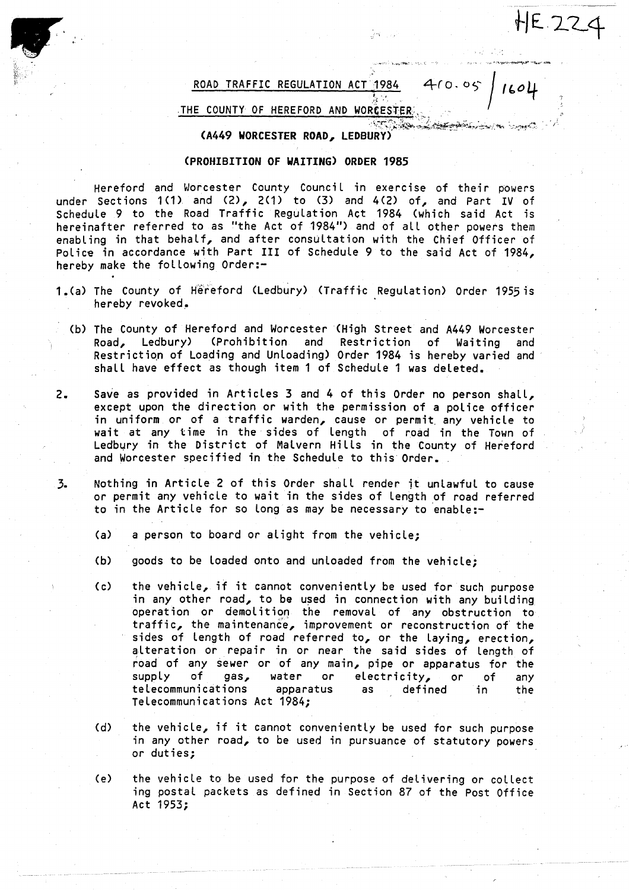ROAD TRAFFIC REGULATION ACT 1984 410.05

앞에 들리는

HE 224

IC-04

## THE COUNTY OF HEREFORD AND WORCESTER;,

## (A449 WORCESTER ROAD, LEDBURY)

## (PROHIBITION OF WAITING) ORDER 1985

Hereford and Worcester County Council in exercise of their powers under Sections 1(1) and (2), 2(1) to (3) and 4(2) of, and Part IV of Schedule 9 to the Road Traffic Regulation Act 1984 (which said Act is hereinafter referred to as "the Act of 1984") and of all other powers them enabling in that behalf, and after consultation with the Chief Officer of Police in accordance with Part III of Schedule 9 to the said Act of 1984, hereby make the following Order:-

- <sup>1</sup> .(a) The County of Hereford (Ledbury) (Traffic Regulation) Order 1955is hereby revoked .
	- (b) The County of Hereford and Worcester (High Street and A449 Worcester Road, Ledbury) (Prohibition and Restriction of Waiting and Restriction of Loading and Unloading) Order 1984 is hereby varied and shall have effect as though item 1 of Schedule 1 was deleted.
- 2. Save as provided in Articles 3 and 4 of this Order no person shall, except upon the direction or with the permission of a police officer in uniform or of <sup>a</sup> traffic warden, cause or permit, any vehicle to wait at any time in the sides of Length of road in the Town of Ledbury in the District of Malvern Hills in the County of Hereford and Worcester specified in the Schedule to this Order.
- 3. Nothing in Article 2 of this Order shall render it unlawful to cause or permit any vehicle to wait in the sides of Length of road referred to in the Article for so long as may be necessary to enable:-
	- (a) a person to board or alight from the vehicle;
	- (b) goods to be loaded onto and unloaded from the vehicle:
	- (c) the vehicle, if it cannot conveniently be used for such purpose in any other road, to be used in connection with any building operation or demolition the removal of any obstruction to traffic, the maintenance, improvement or reconstruction of the sides of length of road referred to, or the laying, erection, alteration or repair in or near the said sides of Length of road of any sewer or of any main, pipe or apparatus for the<br>supply of gas, water or electricity, or of any supply of gas, water or electricity, or of any<br>telecommunications apparatus as defined in the apparatus as defined Telecommunications Act 1984;
	- (d) the vehicle, if it cannot conveniently be used for such purpose in any other road, to be used in pursuance of statutory powers or duties ;
	- (e) the vehicle to be used for the purpose of delivering or collect ing postal packets as defined in Section 87 of the Post Office Act 1953 ;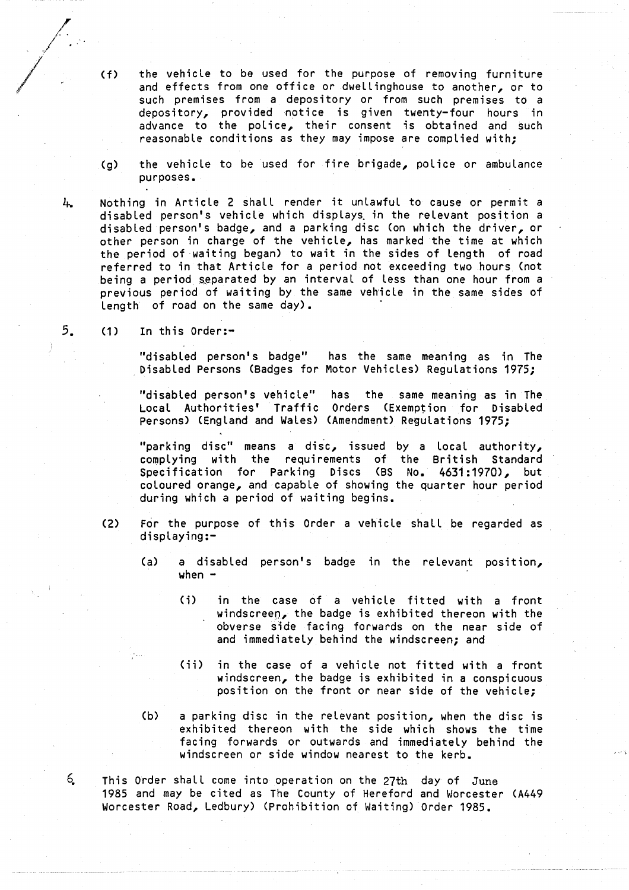(f) the vehicle to be used for the purpose of removing furniture and effects from one office or dwellinghouse to another, or to such premises from a depository or from such premises to a depository, provided notice is given twenty-four hours in advance to the police, their consent is obtained and such reasonable conditions as they may impose are complied with;

(g) the vehicle to be used for fire brigade, police or ambulance purposes .

Nothing in Article 2 shall render it unlawful to cause or permit a disabled person's vehicle which displays in the relevant position a disabled person's badge, and a parking disc (on which the driver, or other person in charge of the vehicle, has marked the time at which the period of waiting began) to wait in the sides of length of road referred to in that Article for a period not exceeding two hours (not being <sup>a</sup> period separated by an interval of less than one hour from a previous period of waiting by the same vehicle in the same sides of length' of road on the same day) .

 $5.$  (1) In this Order:-

"disabled person's badge" has the same meaning as in The Disabled Persons (Badges for Motor Vehicles) Regulations 1975;

"disabled person's vehicle" has the same meaning as in The Local Authorities' Traffic Orders (Exemption for Disabled Persons) (England and Wales) (Amendment) Regulations 1975;

"parking disc" means a disc, issued by a local authority, complying with the requirements of the British Standard Specification for Parking Discs (BS No. 4631:1970), but coloured orange, and capable of showing the quarter hour period during which a period of waiting begins .

- (2) For the purpose of this Order <sup>a</sup> vehicle shall be regarded as displaying :-
	- (a) a disabled person's badge in the relevant position, when  $-$ 
		- (i) in the case of a vehicle fitted with <sup>a</sup> front windscreen, the badge is exhibited thereon with the obverse side facing forwards on the near side of and immediately behind the windscreen; and
		- (ii) in the case of a vehicle not fitted with <sup>a</sup> front windscreen, the badge is exhibited in a conspicuous position on the front or near side of the vehicle;
	- (b) <sup>a</sup> parking disc in the relevant position, when the disc is exhibited thereon with the side which shows the time facing forwards or outwards and immediately behind the windscreen or side window nearest to the kerb.
- This order shall come into operation on the 27th day of June 1985 and may be cited as The County of Hereford and Worcester (A449 Worcester Road, Ledbury) (Prohibition of Waiting) Order 1985 .

 $6<sub>1</sub>$ 

4.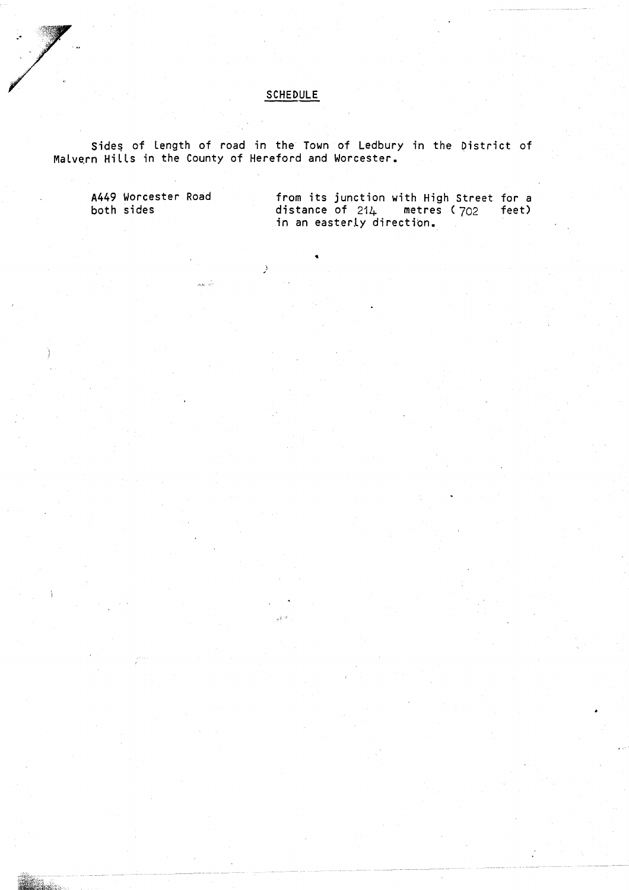## SCHEDULE

Sides of length of road in the Town of Ledbury in the District of Malvern Hills in the County of Hereford and Worcester .

÷,

A449 Worcester Road

from its junction with High Street for a both sides  $\qquad \qquad \qquad$  distance of 21 $\mu$  metres (702 feet) in an easterly direction .